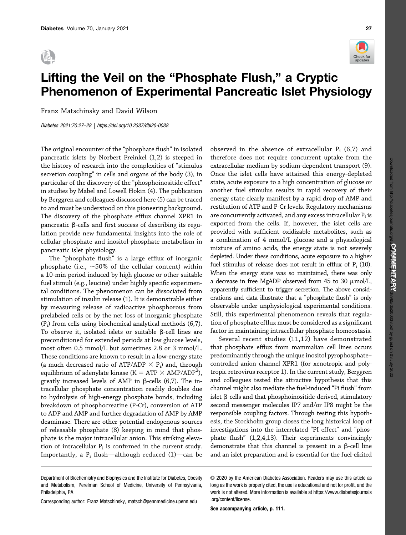



## Lifting the Veil on the "Phosphate Flush," a Cryptic Phenomenon of Experimental Pancreatic Islet Physiology

Franz Matschinsky and David Wilson

Diabetes 2021;70:27–28 |<https://doi.org/10.2337/dbi20-0038>

The original encounter of the "phosphate flush" in isolated pancreatic islets by Norbert Freinkel (1,2) is steeped in the history of research into the complexities of "stimulus secretion coupling" in cells and organs of the body (3), in particular of the discovery of the "phosphoinositide effect" in studies by Mabel and Lowell Hokin (4). The publication by Berggren and colleagues discussed here (5) can be traced to and must be understood on this pioneering background. The discovery of the phosphate efflux channel XPR1 in pancreatic  $\beta$ -cells and first success of describing its regulation provide new fundamental insights into the role of cellular phosphate and inositol-phosphate metabolism in pancreatic islet physiology.

The "phosphate flush" is a large efflux of inorganic phosphate (i.e.,  $\sim$  50% of the cellular content) within a 10-min period induced by high glucose or other suitable fuel stimuli (e.g., leucine) under highly specific experimental conditions. The phenomenon can be dissociated from stimulation of insulin release (1). It is demonstrable either by measuring release of radioactive phosphorous from prelabeled cells or by the net loss of inorganic phosphate  $(P_i)$  from cells using biochemical analytical methods  $(6,7)$ . To observe it, isolated islets or suitable  $\beta$ -cell lines are preconditioned for extended periods at low glucose levels, most often 0.5 mmol/L but sometimes 2.8 or 3 mmol/L. These conditions are known to result in a low-energy state (a much decreased ratio of ATP/ADP  $\times$  P<sub>i</sub>) and, through equilibrium of adenylate kinase (K = ATP  $\times$  AMP/ADP<sup>2</sup>), greatly increased levels of AMP in  $\beta$ -cells (6,7). The intracellular phosphate concentration readily doubles due to hydrolysis of high-energy phosphate bonds, including breakdown of phosphocreatine (P-Cr), conversion of ATP to ADP and AMP and further degradation of AMP by AMP deaminase. There are other potential endogenous sources of releasable phosphate (8) keeping in mind that phosphate is the major intracellular anion. This striking elevation of intracellular  $P_i$  is confirmed in the current study. Importantly, a  $P_i$  flush—although reduced (1)—can be observed in the absence of extracellular  $P_i$  (6,7) and

Several recent studies (11,12) have demonstrated that phosphate efflux from mammalian cell lines occurs predominantly through the unique inositol pyrophosphate– controlled anion channel XPR1 (for xenotropic and polytropic retrovirus receptor 1). In the current study, Berggren and colleagues tested the attractive hypothesis that this channel might also mediate the fuel-induced "Pi flush" from islet  $\beta$ -cells and that phosphoinositide-derived, stimulatory second messenger molecules IP7 and/or IP8 might be the responsible coupling factors. Through testing this hypothesis, the Stockholm group closes the long historical loop of investigations into the interrelated "PI effect" and "phosphate flush" (1,2,4,13). Their experiments convincingly demonstrate that this channel is present in a  $\beta$ -cell line and an islet preparation and is essential for the fuel-elicited

Corresponding author: Franz Matschinsky, [matsch@pennmedicine.upenn.edu](mailto:matsch@pennmedicine.upenn.edu)

 $\mathcal{S}$  are accompanying article, p. 111.

therefore does not require concurrent uptake from the extracellular medium by sodium-dependent transport (9). Once the islet cells have attained this energy-depleted state, acute exposure to a high concentration of glucose or another fuel stimulus results in rapid recovery of their energy state clearly manifest by a rapid drop of AMP and restitution of ATP and P-Cr levels. Regulatory mechanisms are concurrently activated, and any excess intracellular  $P_i$  is exported from the cells. If, however, the islet cells are provided with sufficient oxidizable metabolites, such as a combination of 4 mmol/L glucose and a physiological mixture of amino acids, the energy state is not severely depleted. Under these conditions, acute exposure to a higher fuel stimulus of release does not result in efflux of  $P_i$  (10). When the energy state was so maintained, there was only a decrease in free MgADP observed from 45 to 30  $\mu$ mol/L, apparently sufficient to trigger secretion. The above considerations and data illustrate that a "phosphate flush" is only observable under unphysiological experimental conditions. Still, this experimental phenomenon reveals that regulation of phosphate efflux must be considered as a significant factor in maintaining intracellular phosphate homeostasis.

Department of Biochemistry and Biophysics and the Institute for Diabetes, Obesity and Metabolism, Perelman School of Medicine, University of Pennsylvania, Philadelphia, PA

<sup>© 2020</sup> by the American Diabetes Association. Readers may use this article as long as the work is properly cited, the use is educational and not for profit, and the work is not altered. More information is available at [https://www.diabetesjournals](https://www.diabetesjournals.org/content/license) [.org/content/license](https://www.diabetesjournals.org/content/license).